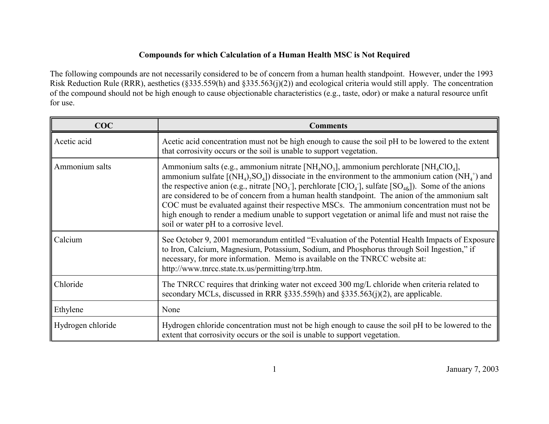## **Compounds for which Calculation of a Human Health MSC is Not Required**

The following compounds are not necessarily considered to be of concern from a human health standpoint. However, under the 1993 Risk Reduction Rule (RRR), aesthetics (§335.559(h) and §335.563(j)(2)) and ecological criteria would still apply. The concentration of the compound should not be high enough to cause objectionable characteristics (e.g., taste, odor) or make a natural resource unfit for use.

| COC               | <b>Comments</b>                                                                                                                                                                                                                                                                                                                                                                                                                                                                                                                                                                                                                                                                                                                            |
|-------------------|--------------------------------------------------------------------------------------------------------------------------------------------------------------------------------------------------------------------------------------------------------------------------------------------------------------------------------------------------------------------------------------------------------------------------------------------------------------------------------------------------------------------------------------------------------------------------------------------------------------------------------------------------------------------------------------------------------------------------------------------|
| Acetic acid       | Acetic acid concentration must not be high enough to cause the soil pH to be lowered to the extent<br>that corrosivity occurs or the soil is unable to support vegetation.                                                                                                                                                                                                                                                                                                                                                                                                                                                                                                                                                                 |
| Ammonium salts    | Ammonium salts (e.g., ammonium nitrate [NH <sub>4</sub> NO <sub>3</sub> ], ammonium perchlorate [NH <sub>4</sub> ClO <sub>4</sub> ],<br>ammonium sulfate $[(NH_4), SO_4]$ dissociate in the environment to the ammonium cation $(NH_4^+)$ and<br>the respective anion (e.g., nitrate [NO <sub>3</sub> ], perchlorate [ClO <sub>4</sub> ], sulfate [SO <sub>48</sub> ]). Some of the anions<br>are considered to be of concern from a human health standpoint. The anion of the ammonium salt<br>COC must be evaluated against their respective MSCs. The ammonium concentration must not be<br>high enough to render a medium unable to support vegetation or animal life and must not raise the<br>soil or water pH to a corrosive level. |
| Calcium           | See October 9, 2001 memorandum entitled "Evaluation of the Potential Health Impacts of Exposure<br>to Iron, Calcium, Magnesium, Potassium, Sodium, and Phosphorus through Soil Ingestion," if<br>necessary, for more information. Memo is available on the TNRCC website at:<br>http://www.tnrcc.state.tx.us/permitting/trrp.htm.                                                                                                                                                                                                                                                                                                                                                                                                          |
| Chloride          | The TNRCC requires that drinking water not exceed 300 mg/L chloride when criteria related to<br>secondary MCLs, discussed in RRR $\S 335.559(h)$ and $\S 335.563(i)(2)$ , are applicable.                                                                                                                                                                                                                                                                                                                                                                                                                                                                                                                                                  |
| Ethylene          | None                                                                                                                                                                                                                                                                                                                                                                                                                                                                                                                                                                                                                                                                                                                                       |
| Hydrogen chloride | Hydrogen chloride concentration must not be high enough to cause the soil pH to be lowered to the<br>extent that corrosivity occurs or the soil is unable to support vegetation.                                                                                                                                                                                                                                                                                                                                                                                                                                                                                                                                                           |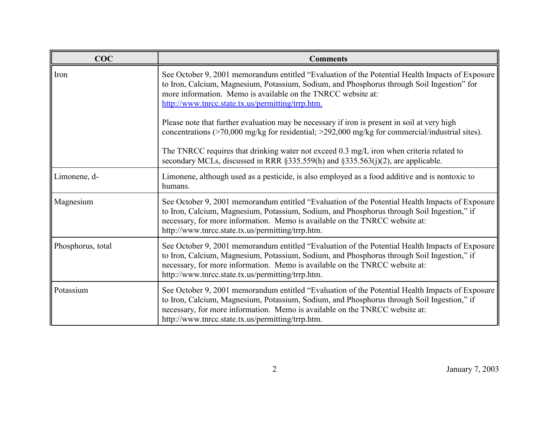| COC               | <b>Comments</b>                                                                                                                                                                                                                                                                                                                   |
|-------------------|-----------------------------------------------------------------------------------------------------------------------------------------------------------------------------------------------------------------------------------------------------------------------------------------------------------------------------------|
| Iron              | See October 9, 2001 memorandum entitled "Evaluation of the Potential Health Impacts of Exposure<br>to Iron, Calcium, Magnesium, Potassium, Sodium, and Phosphorus through Soil Ingestion" for<br>more information. Memo is available on the TNRCC website at:<br>http://www.tnrcc.state.tx.us/permitting/trrp.htm.                |
|                   | Please note that further evaluation may be necessary if iron is present in soil at very high<br>concentrations (>70,000 mg/kg for residential; >292,000 mg/kg for commercial/industrial sites).                                                                                                                                   |
|                   | The TNRCC requires that drinking water not exceed 0.3 mg/L iron when criteria related to<br>secondary MCLs, discussed in RRR $\S 335.559(h)$ and $\S 335.563(i)(2)$ , are applicable.                                                                                                                                             |
| Limonene, d-      | Limonene, although used as a pesticide, is also employed as a food additive and is nontoxic to<br>humans.                                                                                                                                                                                                                         |
| Magnesium         | See October 9, 2001 memorandum entitled "Evaluation of the Potential Health Impacts of Exposure<br>to Iron, Calcium, Magnesium, Potassium, Sodium, and Phosphorus through Soil Ingestion," if<br>necessary, for more information. Memo is available on the TNRCC website at:<br>http://www.tnrcc.state.tx.us/permitting/trrp.htm. |
| Phosphorus, total | See October 9, 2001 memorandum entitled "Evaluation of the Potential Health Impacts of Exposure<br>to Iron, Calcium, Magnesium, Potassium, Sodium, and Phosphorus through Soil Ingestion," if<br>necessary, for more information. Memo is available on the TNRCC website at:<br>http://www.tnrcc.state.tx.us/permitting/trrp.htm. |
| Potassium         | See October 9, 2001 memorandum entitled "Evaluation of the Potential Health Impacts of Exposure<br>to Iron, Calcium, Magnesium, Potassium, Sodium, and Phosphorus through Soil Ingestion," if<br>necessary, for more information. Memo is available on the TNRCC website at:<br>http://www.tnrcc.state.tx.us/permitting/trrp.htm. |